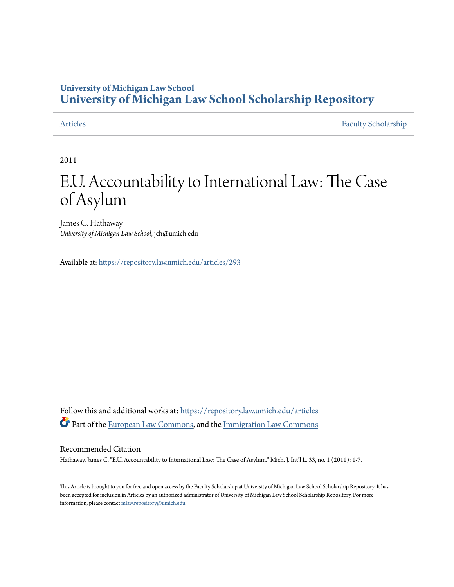# **University of Michigan Law School [University of Michigan Law School Scholarship Repository](https://repository.law.umich.edu?utm_source=repository.law.umich.edu%2Farticles%2F293&utm_medium=PDF&utm_campaign=PDFCoverPages)**

[Articles](https://repository.law.umich.edu/articles?utm_source=repository.law.umich.edu%2Farticles%2F293&utm_medium=PDF&utm_campaign=PDFCoverPages) [Faculty Scholarship](https://repository.law.umich.edu/faculty_scholarship?utm_source=repository.law.umich.edu%2Farticles%2F293&utm_medium=PDF&utm_campaign=PDFCoverPages)

2011

# E.U. Accountability to International Law: The Case of Asylum

James C. Hathaway *University of Michigan Law School*, jch@umich.edu

Available at: <https://repository.law.umich.edu/articles/293>

Follow this and additional works at: [https://repository.law.umich.edu/articles](https://repository.law.umich.edu/articles?utm_source=repository.law.umich.edu%2Farticles%2F293&utm_medium=PDF&utm_campaign=PDFCoverPages) Part of the [European Law Commons,](http://network.bepress.com/hgg/discipline/1084?utm_source=repository.law.umich.edu%2Farticles%2F293&utm_medium=PDF&utm_campaign=PDFCoverPages) and the [Immigration Law Commons](http://network.bepress.com/hgg/discipline/604?utm_source=repository.law.umich.edu%2Farticles%2F293&utm_medium=PDF&utm_campaign=PDFCoverPages)

### Recommended Citation

Hathaway, James C. "E.U. Accountability to International Law: The Case of Asylum." Mich. J. Int'l L. 33, no. 1 (2011): 1-7.

This Article is brought to you for free and open access by the Faculty Scholarship at University of Michigan Law School Scholarship Repository. It has been accepted for inclusion in Articles by an authorized administrator of University of Michigan Law School Scholarship Repository. For more information, please contact [mlaw.repository@umich.edu.](mailto:mlaw.repository@umich.edu)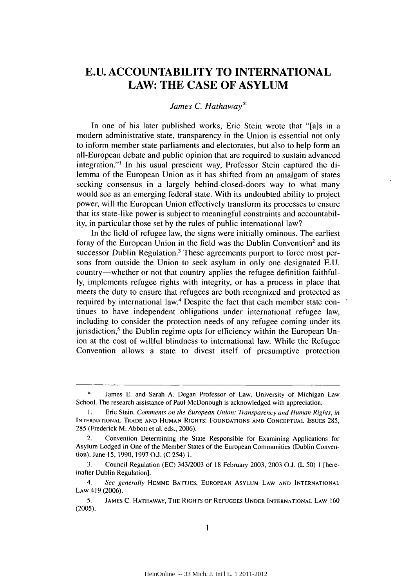## **E.U. ACCOUNTABILITY TO INTERNATIONAL LAW: THE CASE OF ASYLUM**

#### *James C. Hathaway\**

In one of his later published works, Eric Stein wrote that "[a]s in a modern administrative state, transparency in the Union is essential not only to inform member state parliaments and electorates, but also to help form an all-European debate and public opinion that are required to sustain advanced integration."' In his usual prescient way, Professor Stein captured the dilemma of the European Union as it has shifted from an amalgam of states seeking consensus in a largely behind-closed-doors way to what many would see as an emerging federal state. With its undoubted ability to project power, will the European Union effectively transform its processes to ensure that its state-like power is subject to meaningful constraints and accountabil**ity,** in particular those set **by** the rules of public international law?

In the **field** of refugee law, the signs were initially ominous. The earliest foray of the European Union in the field was the Dublin Convention<sup>2</sup> and its successor Dublin Regulation.<sup>3</sup> These agreements purport to force most persons from outside the Union to seek asylum in only one designated E.U. country-whether or not that country applies the refugee definition faithful**ly,** implements refugee rights with integrity, or has a process in place that meets the duty to ensure that refugees are both recognized and protected as required **by** international law.4 Despite the fact that each member state continues to have independent obligations under international refugee law, including to consider the protection needs of any refugee coming under its jurisdiction,<sup>5</sup> the Dublin regime opts for efficiency within the European Union at the cost of willful blindness to international law. While the Refugee Convention allows a state to divest itself of presumptive protection

James E. and Sarah A. Degan Professor of Law, University of Michigan Law School. The research assistance of Paul McDonough is acknowledged with appreciation.

**I.** Eric Stein, *Comments on the European Union: Transparency and Human Rights, in* **INTERNATIONAL** TRADE **AND HUMAN** RIGHTS: **FOUNDATIONS AND** CONCEPTUAL ISSUES 285, 285 (Frederick M. Abbott et al. eds., 2006).

<sup>2.</sup> Convention Determining the State Responsible for Examining Applications for Asylum Lodged in One of the Member States of the European Communities (Dublin Convention), June **15,** 1990,1997 O.J. (C 254) 1.

<sup>3.</sup> Council Regulation (EC) 343/2003 of 18 February 2003, 2003 O.J. (L 50) 1 [hereinafter Dublin Regulation].

<sup>4.</sup> *See generally* **HEMME** BATTJES, **EUROPEAN** ASYLUM **LAW AND INTERNATIONAL** LAW 419 (2006).

<sup>5.</sup> **JAMES C.** HATHAWAY, THE RIGHTS OF **REFUGEES UNDER INTERNATIONAL LAW 160** (2005).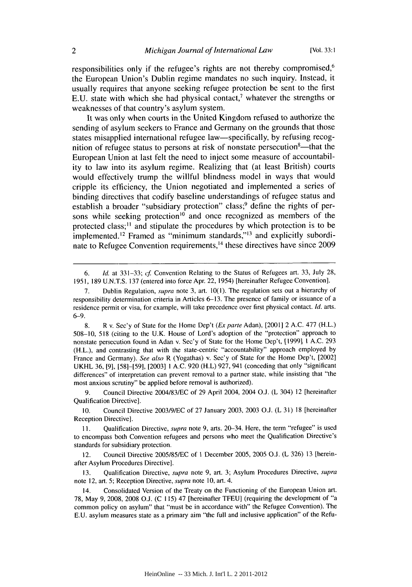responsibilities only if the refugee's rights are not thereby compromised,<sup>6</sup> the European Union's Dublin regime mandates no such inquiry. Instead, it usually requires that anyone seeking refugee protection be sent to the first E.U. state with which she had physical contact,<sup> $\prime$ </sup> whatever the strengths or weaknesses of that country's asylum system.

It was only when courts in the United Kingdom refused to authorize the sending of asylum seekers to France and Germany on the grounds that those states misapplied international refugee law—specifically, by refusing recognition of refugee status to persons at risk of nonstate persecution<sup>8</sup>—that the European Union at last felt the need to inject some measure of accountability to law into its asylum regime. Realizing that (at least British) courts would effectively trump the willful blindness model in ways that would cripple its efficiency, the Union negotiated and implemented a series of binding directives that codify baseline understandings of refugee status and establish a broader "subsidiary protection" class;<sup>9</sup> define the rights of persons while seeking protection<sup>10</sup> and once recognized as members of the protected class;<sup>11</sup> and stipulate the procedures by which protection is to be implemented.<sup>12</sup> Framed as "minimum standards,"<sup>13</sup> and explicitly subordinate to Refugee Convention requirements,<sup>14</sup> these directives have since 2009

6. **Id.** at 331-33; cf Convention Relating to the Status of Refugees art. 33, July 28, 1951, 189 U.N.T.S. 137 (entered into force Apr. 22, 1954) [hereinafter Refugee Convention].

<sup>7.</sup> Dublin Regulation, *supra* note 3, art.  $10(1)$ . The regulation sets out a hierarchy of responsibility determination criteria in Articles 6-13. The presence of family or issuance of a residence permit or visa, for example, will take precedence over first physical contact. **Id.** arts. 6-9.

<sup>8.</sup> R v. Sec'y of State for the Home Dep't (Ex parte Adan), [2001] 2 A.C. 477 (H.L.) 508-10, 518 (citing to the U.K. House of Lord's adoption of the "protection" approach to nonstate persecution found in Adan v. Sec'y of State for the Home Dep't, [1999] 1 A.C. 293 (H.L.), and contrasting that with the state-centric "accountability" approach employed by France and Germany). See also R (Yogathas) v. Sec'y of State for the Home Dep't, [2002] UKHL 36, [9], [58]-[59], [2003] 1 A.C. 920 (H.L) 927, 941 (conceding that only "significant differences" of interpretation can prevent removal to a partner state, while insisting that "the most anxious scrutiny" be applied before removal is authorized).

<sup>9.</sup> Council Directive 2004/83/EC of 29 April 2004, 2004 O.J. (L 304) 12 [hereinafter Qualification Directive].

<sup>10.</sup> Council Directive 2003/9/EC of 27 January 2003, 2003 **O.J.** (L 31) 18 [hereinafter Reception Directive].

<sup>11.</sup> Qualification Directive, *supra* note 9, arts. 20–34. Here, the term "refugee" is used to encompass both Convention refugees and persons who meet the Qualification Directive's standards for subsidiary protection.

<sup>12.</sup> Council Directive 2005/85/EC of 1 December 2005, 2005 0.3. (L 326) 13 [hereinafter Asylum Procedures Directive].

<sup>13.</sup> Qualification Directive, *supra* note 9, art. 3; Asylum Procedures Directive, *supra* note 12, art. 5; Reception Directive, *supra* note 10, art. 4.

<sup>14.</sup> Consolidated Version of the Treaty on the Functioning of the European Union art. **78,** May **9,** 2008, 2008 **O.J.** (C 115) 47 [hereinafter **TFEU]** (requiring the development of "a common policy on asylum" that "must be in accordance with" the Refugee Convention). The E.U. asylum measures state as a primary aim "the full and inclusive application" of the Refu-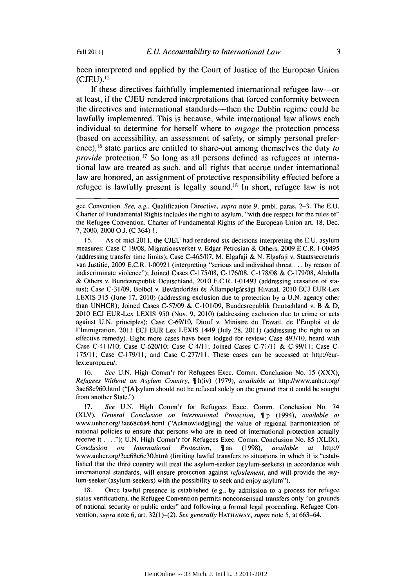been interpreted and applied by the Court of Justice of the European Union  $(CJEU).$ <sup>15</sup>

If these directives faithfully implemented international refugee law-or at least, if the CJEU rendered interpretations that forced conformity between the directives and international standards—then the Dublin regime could be lawfully implemented. This is because, while international law allows each individual to determine for herself where to *engage* the protection process (based on accessibility, an assessment of safety, or simply personal preference),<sup>16</sup> state parties are entitled to share-out among themselves the duty *to provide* protection.<sup>17</sup> So long as all persons defined as refugees at international law are treated as such, and all rights that accrue under international law are honored, an assignment of protective responsibility effected before a refugee is lawfully present is legally sound.<sup> $18$ </sup> In short, refugee law is not

15. As of mid-2011, the CJEU had rendered six decisions interpreting the E.U. asylum measures: Case **C-** 19/08, Migrationsverket v. Edgar Petrosian & Others, 2009 E.C.R. 1-00495 (addressing transfer time limits); Case C-465/07, M. Elgafaji & N. Elgafaji v. Staatssecretaris van Justitie, 2009 E.C.R. 1-00921 (interpreting "serious and individual threat ... by reason of indiscriminate violence"); Joined Cases C-175/08, C-176/08, C-178/08 & C-179/08, Abdulla & Others v. Bundesrepublik Deutschland, 2010 E.C.R. 1-01493 (addressing cessation of status); Case C-31/09, Bolbol v. Bevándorlási és Állampolgársági Hivatal, 2010 ECJ EUR-Lex LEXIS 315 (June 17, 2010) (addressing exclusion due to protection by a U.N. agency other than UNHCR); Joined Cases C-57/09 & C-101/09, Bundesrepublik Deutschland v. B & D, 2010 ECJ EUR-Lex LEXIS 950 (Nov. 9, 2010) (addressing exclusion due to crime or acts against U.N. principles); Case C-69/10, Diouf v. Ministre du Travail, de l'Emploi et de l'Immigration, 2011 ECJ EUR-Lex LEXIS 1449 (July 28, 2011) (addressing the right to an effective remedy). Eight more cases have been lodged for review: Case 493/10, heard with Case C-41 1/10; Case C-620/10; Case C-4/1 I; Joined Cases C-71/I **I** & C-99/1 **1;** Case C-175/11; Case C-179/11; and Case C-277/11. These cases can be accessed at http://eurlex.europa.eu/.

16. *See* U.N. High Comm'r for Refugees Exec. Comm. Conclusion No. 15 (XXX), *Refugees Without an Asylum Country,*  $\parallel$  h(iv) (1979), *available at http://www.unhcr.org/* 3ae68c960.html ("[A]sylum should not be refused solely on the ground that it could be sought from another State.").

17. *See* U.N. High Comm'r for Refugees Exec. Comm. Conclusion No. 74 (XLV), General *Conclusion on International Protection,* p (1994), *available at* www.unhcr.org/3ae68c6a4.html ("Acknowledg[ing] the value of regional harmonization of national policies to ensure that persons who are in need of international protection actually receive it **... ");** U.N. High Comm'r for Refugees Exec. Comm. Conclusion No. 85 (XLIX), *Conclusion on International Protection,*  $\parallel$  aa (1998), *available at http://* www.unhcr.org/3ae68c6e30.html (limiting lawful transfers to situations in which it is "established that the third country will treat the asylum-seeker (asylum-seekers) in accordance with international standards, will ensure protection against *refoulement,* and will provide the asylum-seeker (asylum-seekers) with the possibility to seek and enjoy asylum").

18. Once lawful presence is established (e.g., by admission to a process for refugee status verification), the Refugee Convention permits nonconsensual transfers only "on grounds of national security or public order" and following a formal legal proceeding. Refugee Convention, *supra* note 6, art. 32(l)-(2). *See generally* HATHAWAY, *supra* note 5, at 663-64.

gee Convention. See, e.g., Qualification Directive, supra note 9, pmbl. paras.  $2-3$ . The E.U. Charter of Fundamental Rights includes the right to asylum, "with due respect for the rules of" the Refugee Convention. Charter of Fundamental Rights of the European Union art. 18, Dec. 7, 2000, 2000 **0..** (C 364) 1.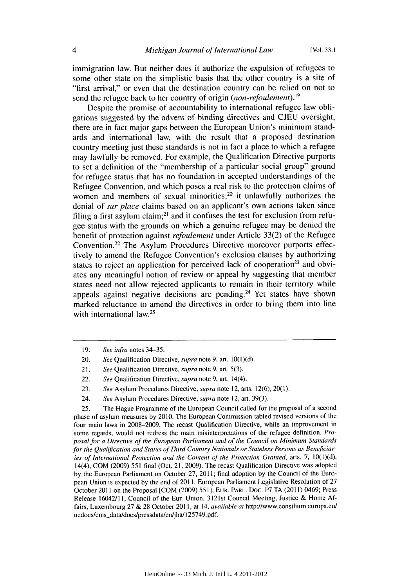immigration law. But neither does it authorize the expulsion of refugees to some other state on the simplistic basis that the other country is a site of "first arrival," or even that the destination country can be relied on not to send the refugee back to her country of origin *(non-refoulement)."9*

Despite the promise of accountability to international refugee law obligations suggested by the advent of binding directives and CJEU oversight, there are in fact major gaps between the European Union's minimum standards and international law, with the result that a proposed destination country meeting just these standards is not in fact a place to which a refugee may lawfully be removed. For example, the Qualification Directive purports to set a definition of the "membership of a particular social group" ground for refugee status that has no foundation in accepted understandings of the Refugee Convention, and which poses a real risk to the protection claims of women and members of sexual minorities; $2<sup>0</sup>$  it unlawfully authorizes the denial of *sur place* claims based on an applicant's own actions taken since filing a first asylum claim;<sup>21</sup> and it confuses the test for exclusion from refugee status with the grounds on which a genuine refugee may be denied the benefit of protection against *refoulement* under Article 33(2) of the Refugee Convention.<sup>22</sup> The Asylum Procedures Directive moreover purports effectively to amend the Refugee Convention's exclusion clauses by authorizing states to reject an application for perceived lack of cooperation<sup>23</sup> and obviates any meaningful notion of review or appeal by suggesting that member states need not allow rejected applicants to remain in their territory while appeals against negative decisions are pending.<sup>24</sup> Yet states have shown marked reluctance to amend the directives in order to bring them into line with international law.<sup>25</sup>

25. The Hague Programme of the European Council called for the proposal of a second phase of asylum measures by 2010. The European Commission tabled revised versions of the four main laws in 2008-2009. The recast Qualification Directive, while an improvement in some regards, would not redress the main misinterpretations of the refugee definition. Proposal for a Directive of the European Parliament and of the Council on Minimum Standards for the Qualification and Status of Third Country Nationals or Stateless Persons as Beneficiaries of International Protection and the Content of the Protection Granted, arts. 7, **10(1)(d),** 14(4), COM (2009) 551 final (Oct. 21, 2009). The recast Qualification Directive was adopted by the European Parliament on October 27, 2011; final adoption by the Council of the European Union is expected by the end of 2011. European Parliament Legislative Resolution of 27 October 2011 on the Proposal [COM (2009) 551], EUR. PARL. Doc. P7 TA (2011) 0469; Press Release 16042/1 **I,** Council of the Eur. Union, 3121st Council Meeting, Justice & Home Affairs, Luxembourg 27 & 28 October 2011, at 14, available at http://www.consilium.europa.eu/ uedocs/cms\_data/docs/pressdata/en/jha/125749.pdf.

<sup>19.</sup> See infra notes 34-35.

<sup>20.</sup> See Qualification Directive, supra note 9, art.  $10(1)(d)$ .

<sup>21.</sup> See Qualification Directive, *supra* note 9, art. 5(3).

<sup>22.</sup> See Qualification Directive, *supra* note 9, art. 14(4).

<sup>23.</sup> *See* Asylum Procedures Directive, supra note 12, arts. 12(6), 20(1).

<sup>24.</sup> *See* Asylum Procedures Directive, supra note 12, art. 39(3).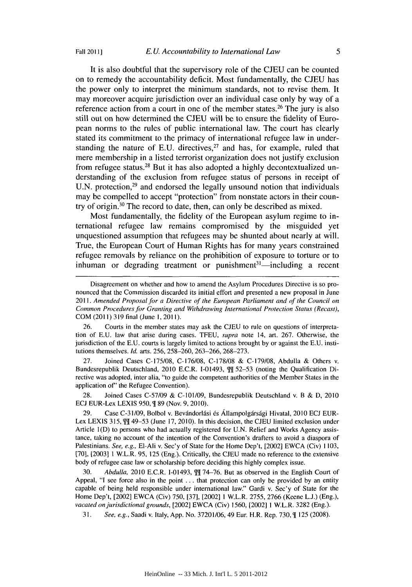Fall 20111]

It is also doubtful that the supervisory role of the CJEU can be counted on to remedy the accountability deficit. Most fundamentally, the CJEU has the power only to interpret the minimum standards, not to revise them. It may moreover acquire jurisdiction over an individual case only by way of a reference action from a court in one of the member states.<sup>26</sup> The jury is also still out on how determined the CJEU will be to ensure the fidelity of European norms to the rules of public international law. The court has clearly stated its commitment to the primacy of international refugee law in understanding the nature of E.U. directives,  $27$  and has, for example, ruled that mere membership in a listed terrorist organization does not justify exclusion from refugee status. 28 But it has also adopted a highly decontextualized understanding of the exclusion from refugee status of persons in receipt of U.N. protection, $29$  and endorsed the legally unsound notion that individuals may be compelled to accept "protection" from nonstate actors in their country of origin.<sup>30</sup> The record to date, then, can only be described as mixed.

Most fundamentally, the fidelity of the European asylum regime to international refugee law remains compromised by the misguided yet unquestioned assumption that refugees may be shunted about nearly at will. True, the European Court of Human Rights has for many years constrained refugee removals by reliance on the prohibition of exposure to torture or to inhuman or degrading treatment or punishment $31$ —including a recent

27. Joined Cases C-175/08, C-176/08, C-178/08 & C-179/08, Abdulla & Others v. Bundesrepublik Deutschland, 2010 E.C.R. I-01493,  $\frac{m}{12}$  52–53 (noting the Qualification Directive was adopted, inter alia, "to guide the competent authorities of the Member States in the application of" the Refugee Convention).

28. Joined Cases C-57/09 & C-101/09, Bundesrepublik Deutschland v. B & D, 2010 **ECJ** EUR-Lex LEXIS 950, **1** 89 (Nov. 9, 2010).

29. Case C-31/09, Bolbol v. Bevándorlási és Állampolgársági Hivatal, 2010 ECJ EUR-Lex LEXIS 315,  $\int \int \int$  49-53 (June 17, 2010). In this decision, the CJEU limited exclusion under Article 1(D) to persons who had actually registered for U.N. Relief and Works Agency assistance, taking no account of the intention of the Convention's drafters to avoid a diaspora of Palestinians. *See, e.g.,* El-Ali v. Sec'y of State for the Home Dep't, [2002] EWCA (Civ) 1103, [70], [2003] 1 W.L.R. 95, 125 (Eng.). Critically, the CJEU made no reference to the extensive body of refugee case law or scholarship before deciding this highly complex issue.

30. *Abdulla*, 2010 E.C.R. I-01493,  $\int \int \int \int 74-76$ . But as observed in the English Court of Appeal, "I see force also in the point . . . that protection can only be provided by an entity capable of being held responsible under international law." Gardi v. Sec'y of State for the Home Dep't, [20021 EWCA (Civ) 750, [37], [2002] 1 W.L.R. 2755, 2766 (Keene L.J.) (Eng.), *vacated on jurisdictional grounds,* [2002] EWCA (Civ) 1560, [2002] **1** W.L.R. 3282 (Eng.).

31. *See, e.g., Saadi v. Italy, App. No.* 37201/06, 49 Eur. H.R. Rep. 730,  $\P$  125 (2008).

Disagreement on whether and how to amend the Asylum Procedures Directive is so pronounced that the Commission discarded its initial effort and presented a new proposal in June 2011. *Amended Proposal for a Directive of the European Parliament and of the Council on Common Procedures for Granting and Withdrawing International Protection Status (Recast),* COM (2011) 319 final (June 1,2011).

<sup>26.</sup> Courts in the member states may ask the CJEU to rule on questions of interpretation of E.U. law that arise during cases. TFEU, *supra* note 14, art. 267. Otherwise, the jurisdiction of the E.U. courts is largely limited to actions brought by or against the E.U. institutions themselves. *Id.* arts. 256, 258-260, 263-266, 268-273.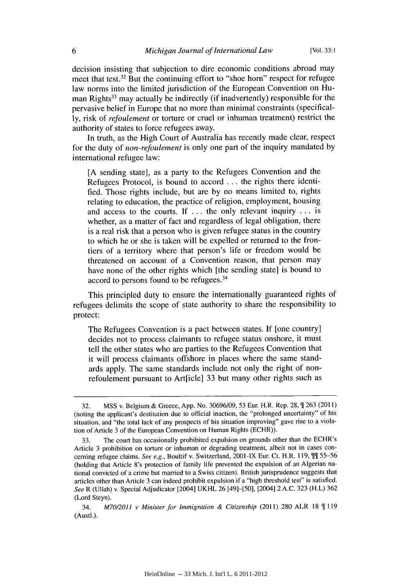decision insisting that subjection to dire economic conditions abroad may meet that test.32 But the continuing effort to "shoe horn" respect for refugee law norms into the limited jurisdiction of the European Convention on Human Rights<sup>33</sup> may actually be indirectly (if inadvertently) responsible for the pervasive belief in Europe that no more than minimal constraints (specifically, risk of *refoulement* or torture or cruel or inhuman treatment) restrict the authority of states to force refugees away.

In truth, as the High Court of Australia has recently made clear, respect for the duty of *non-refoulement* is only one part of the inquiry mandated by international refugee law:

[A sending state], as a party to the Refugees Convention and the Refugees Protocol, is bound to accord ... the rights there identified. Those rights include, but are by no means limited to, rights relating to education, the practice of religion, employment, housing and access to the courts. If ... the only relevant inquiry ... is whether, as a matter of fact and regardless of legal obligation, there is a real risk that a person who is given refugee status in the country to which he or she is taken will be expelled or returned to the frontiers of a territory where that person's life or freedom would be threatened on account of a Convention reason, that person may have none of the other rights which [the sending state] is bound to accord to persons found to be refugees.34

This principled duty to ensure the internationally guaranteed rights of refugees delimits the scope of state authority to share the responsibility to protect:

The Refugees Convention is a pact between states. If [one country] decides not to process claimants to refugee status onshore, it must tell the other states who are parties to the Refugees Convention that it will process claimants offshore in places where the same standards apply. The same standards include not only the right of nonrefoulement pursuant to Art[icle] 33 but many other rights such as

<sup>32.</sup> MSS v. Belgium & Greece, App. No. 30696/09, 53 Eur. H.R. Rep. 28, T 263 (2011) (noting the applicant's destitution due to official inaction, the "prolonged uncertainty" of his situation, and "the total lack of any prospects of his situation improving" gave rise to a violation of Article 3 of the European Convention on Human Rights (ECHR)).

<sup>33.</sup> The court has occasionally prohibited expulsion on grounds other than the ECHR's Article 3 prohibition on torture or inhuman or degrading treatment, albeit not in cases concerning refugee claims. See e.g., Boultif v. Switzerland, 2001-IX Eur. Ct. H.R. 119,  $\mathbb{M}$  55-56 (holding that Article 8's protection of family life prevented the expulsion of an Algerian national convicted of a crime but married to a Swiss citizen). British jurisprudence suggests that articles other than Article 3 can indeed prohibit expulsion if a "high threshold test" is satisfied. *See* R (Ullah) v. Special Adjudicator [2004] UKHL 26 [49]-[50], [2004] 2 A.C. 323 (H.L) 362 (Lord Steyn).

<sup>34.</sup> *M70/2011 v Minister for Immigration & Citizenship* (2011) 280 ALR 18 \line (Austl.).